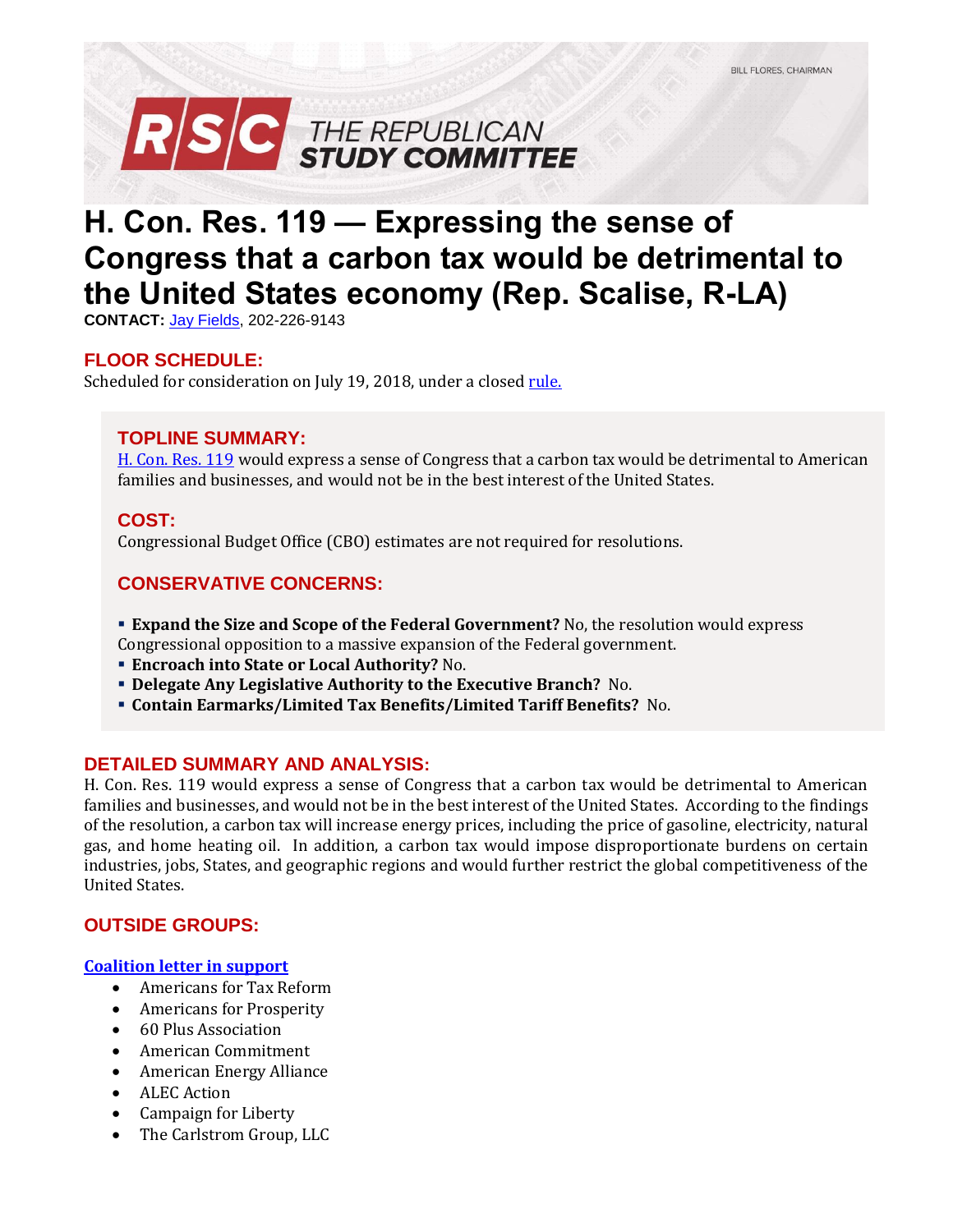

# **H. Con. Res. 119 — Expressing the sense of Congress that a carbon tax would be detrimental to the United States economy (Rep. Scalise, R-LA)**

**CONTACT:** [Jay Fields,](mailto:jay.fields@mail.house.gov) 202-226-9143

# **FLOOR SCHEDULE:**

Scheduled for consideration on July 19, 2018, under a closed [rule.](https://rules.house.gov/bill/115/h-con-res-119)

## **TOPLINE SUMMARY:**

[H. Con. Res. 119](https://www.gpo.gov/fdsys/pkg/BILLS-115hconres119ih/xml/BILLS-115hconres119ih.xml) would express a sense of Congress that a carbon tax would be detrimental to American families and businesses, and would not be in the best interest of the United States.

#### **COST:**

Congressional Budget Office (CBO) estimates are not required for resolutions.

# **CONSERVATIVE CONCERNS:**

**Expand the Size and Scope of the Federal Government?** No, the resolution would express

Congressional opposition to a massive expansion of the Federal government.

- **Encroach into State or Local Authority?** No.
- **Delegate Any Legislative Authority to the Executive Branch?** No.
- **Contain Earmarks/Limited Tax Benefits/Limited Tariff Benefits?** No.

#### **DETAILED SUMMARY AND ANALYSIS:**

H. Con. Res. 119 would express a sense of Congress that a carbon tax would be detrimental to American families and businesses, and would not be in the best interest of the United States. According to the findings of the resolution, a carbon tax will increase energy prices, including the price of gasoline, electricity, natural gas, and home heating oil. In addition, a carbon tax would impose disproportionate burdens on certain industries, jobs, States, and geographic regions and would further restrict the global competitiveness of the United States.

## **OUTSIDE GROUPS:**

#### **[Coalition letter in](https://s3.amazonaws.com/ATR/4-26-18+Coalition+letter+supporting+anti-carbon+tax+resolution.pdf) support**

- Americans for Tax Reform
- Americans for Prosperity
- 60 Plus Association
- American Commitment
- American Energy Alliance
- ALEC Action
- Campaign for Liberty
- The Carlstrom Group, LLC